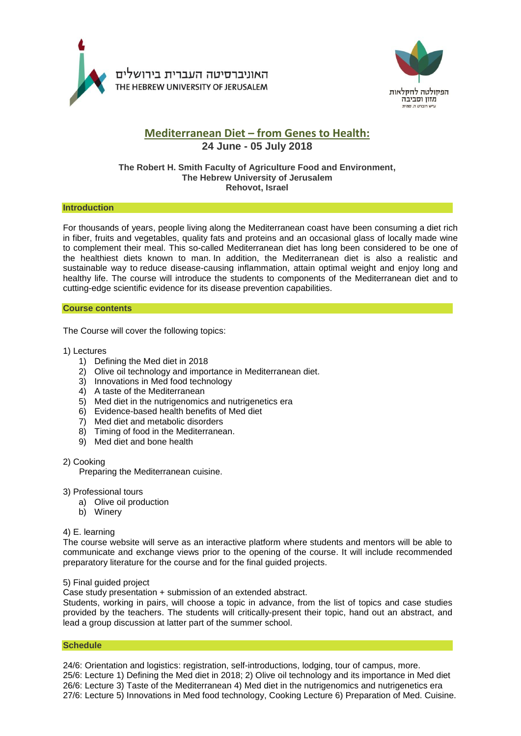



# **Mediterranean Diet – from Genes to Health:**

## **24 June - 05 July 2018**

## **The Robert H. Smith Faculty of Agriculture Food and Environment, The Hebrew University of Jerusalem Rehovot, Israel**

## **Introduction**

For thousands of years, people living along the Mediterranean coast have been consuming a diet rich in fiber, fruits and vegetables, quality fats and proteins and an occasional glass of locally made wine to complement their meal. This so-called Mediterranean diet has long been considered to be one of the healthiest diets known to man. In addition, the Mediterranean diet is also a realistic and sustainable way to reduce disease-causing inflammation, attain optimal weight and enjoy long and healthy life. The course will introduce the students to components of the Mediterranean diet and to cutting-edge scientific evidence for its disease prevention capabilities.

## **Course contents**

The Course will cover the following topics:

## 1) Lectures

- 1) Defining the Med diet in 2018
- 2) Olive oil technology and importance in Mediterranean diet.
- 3) Innovations in Med food technology
- 4) A taste of the Mediterranean
- 5) Med diet in the nutrigenomics and nutrigenetics era
- 6) Evidence-based health benefits of Med diet
- 7) Med diet and metabolic disorders
- 8) Timing of food in the Mediterranean.
- 9) Med diet and bone health

## 2) Cooking

Preparing the Mediterranean cuisine.

## 3) Professional tours

- a) Olive oil production
- b) Winery

## 4) E. learning

The course website will serve as an interactive platform where students and mentors will be able to communicate and exchange views prior to the opening of the course. It will include recommended preparatory literature for the course and for the final guided projects.

## 5) Final guided project

Case study presentation + submission of an extended abstract.

Students, working in pairs, will choose a topic in advance, from the list of topics and case studies provided by the teachers. The students will critically-present their topic, hand out an abstract, and lead a group discussion at latter part of the summer school.

## **Schedule**

24/6: Orientation and logistics: registration, self-introductions, lodging, tour of campus, more. 25/6: Lecture 1) Defining the Med diet in 2018; 2) Olive oil technology and its importance in Med diet 26/6: Lecture 3) Taste of the Mediterranean 4) Med diet in the nutrigenomics and nutrigenetics era 27/6: Lecture 5) Innovations in Med food technology, Cooking Lecture 6) Preparation of Med. Cuisine.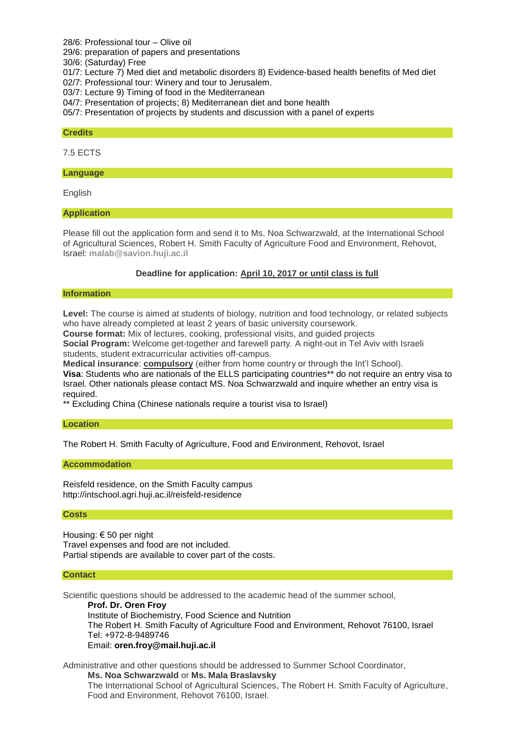28/6: Professional tour – Olive oil

29/6: preparation of papers and presentations

30/6: (Saturday) Free

01/7: Lecture 7) Med diet and metabolic disorders 8) Evidence-based health benefits of Med diet

02/7: Professional tour: Winery and tour to Jerusalem.

03/7: Lecture 9) Timing of food in the Mediterranean

04/7: Presentation of projects; 8) Mediterranean diet and bone health

05/7: Presentation of projects by students and discussion with a panel of experts

#### **Credits**

7.5 ECTS

#### **Language**

English

#### **Application**

Please fill out the application form and send it to Ms. Noa Schwarzwald, at the International School of Agricultural Sciences, Robert H. Smith Faculty of Agriculture Food and Environment, Rehovot, Israel: **[malab@savion.huji.ac.il](mailto:malab@savion.huji.ac.il)**

## **Deadline for application: April 10, 2017 or until class is full**

#### **Information**

**Level:** The course is aimed at students of biology, nutrition and food technology, or related subjects who have already completed at least 2 years of basic university coursework.

**Course format:** Mix of lectures, cooking, professional visits, and guided projects

**Social Program:** Welcome get-together and farewell party. A night-out in Tel Aviv with Israeli students, student extracurricular activities off-campus.

**Medical insurance**: **compulsory** (either from home country or through the Int'l School). **Visa**: Students who are nationals of the ELLS participating countries\*\* do not require an entry visa to Israel. Other nationals please contact MS. Noa Schwarzwald and inquire whether an entry visa is required.

\*\* Excluding China (Chinese nationals require a tourist visa to Israel)

#### **Location**

The Robert H. Smith Faculty of Agriculture, Food and Environment, Rehovot, Israel

#### **Accommodation**

Reisfeld residence, on the Smith Faculty campus <http://intschool.agri.huji.ac.il/reisfeld-residence>

#### **Costs**

Housing: € 50 per night Travel expenses and food are not included. Partial stipends are available to cover part of the costs.

#### **Contact**

Scientific questions should be addressed to the academic head of the summer school,

**Prof. Dr. Oren Froy** Institute of Biochemistry, Food Science and Nutrition The Robert H. Smith Faculty of Agriculture Food and Environment, Rehovot 76100, Israel Tel: +972-8-9489746 Email: **[oren.froy@mail.huji.ac.il](mailto:oren.froy@mail.huji.ac.il)**

Administrative and other questions should be addressed to Summer School Coordinator, **Ms. Noa Schwarzwald** or **Ms. Mala Braslavsky** The International School of Agricultural Sciences, The Robert H. Smith Faculty of Agriculture, Food and Environment, Rehovot 76100, Israel.